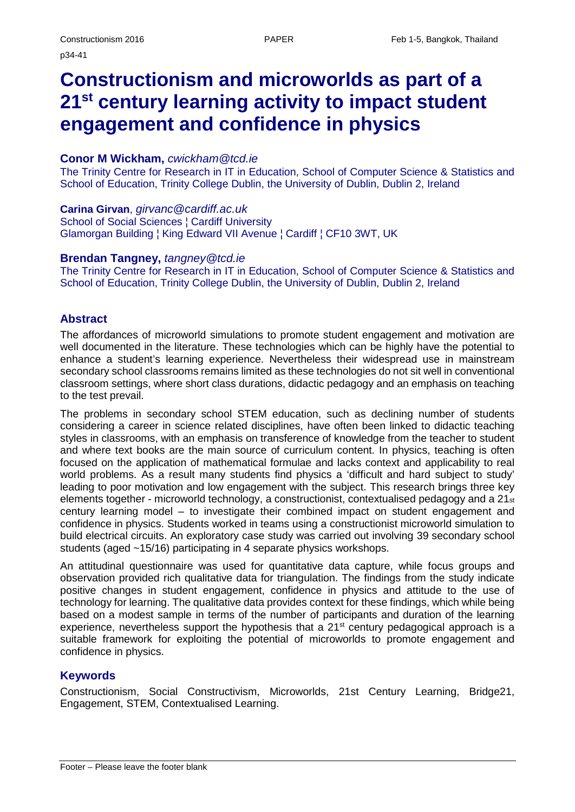# **Constructionism and microworlds as part of a 21st century learning activity to impact student engagement and confidence in physics**

### **Conor M Wickham,** *cwickham@tcd.ie*

The Trinity Centre for Research in IT in Education, School of Computer Science & Statistics and School of Education, Trinity College Dublin, the University of Dublin, Dublin 2, Ireland

#### **Carina Girvan**, *[girvanc@cardiff.ac.uk](mailto:girvanc@cardiff.ac.uk)*

School of Social Sciences ¦ Cardiff University Glamorgan Building ¦ King Edward VII Avenue ¦ Cardiff ¦ CF10 3WT, UK

#### **Brendan Tangney,** *tangney@tcd.ie*

The Trinity Centre for Research in IT in Education, School of Computer Science & Statistics and School of Education, Trinity College Dublin, the University of Dublin, Dublin 2, Ireland

#### **Abstract**

The affordances of microworld simulations to promote student engagement and motivation are well documented in the literature. These technologies which can be highly have the potential to enhance a student's learning experience. Nevertheless their widespread use in mainstream secondary school classrooms remains limited as these technologies do not sit well in conventional classroom settings, where short class durations, didactic pedagogy and an emphasis on teaching to the test prevail.

The problems in secondary school STEM education, such as declining number of students considering a career in science related disciplines, have often been linked to didactic teaching styles in classrooms, with an emphasis on transference of knowledge from the teacher to student and where text books are the main source of curriculum content. In physics, teaching is often focused on the application of mathematical formulae and lacks context and applicability to real world problems. As a result many students find physics a 'difficult and hard subject to study' leading to poor motivation and low engagement with the subject. This research brings three key elements together - microworld technology, a constructionist, contextualised pedagogy and a 21st century learning model – to investigate their combined impact on student engagement and confidence in physics. Students worked in teams using a constructionist microworld simulation to build electrical circuits. An exploratory case study was carried out involving 39 secondary school students (aged ~15/16) participating in 4 separate physics workshops.

An attitudinal questionnaire was used for quantitative data capture, while focus groups and observation provided rich qualitative data for triangulation. The findings from the study indicate positive changes in student engagement, confidence in physics and attitude to the use of technology for learning. The qualitative data provides context for these findings, which while being based on a modest sample in terms of the number of participants and duration of the learning experience, nevertheless support the hypothesis that a  $21<sup>st</sup>$  century pedagogical approach is a suitable framework for exploiting the potential of microworlds to promote engagement and confidence in physics.

### **Keywords**

Constructionism, Social Constructivism, Microworlds, 21st Century Learning, Bridge21, Engagement, STEM, Contextualised Learning.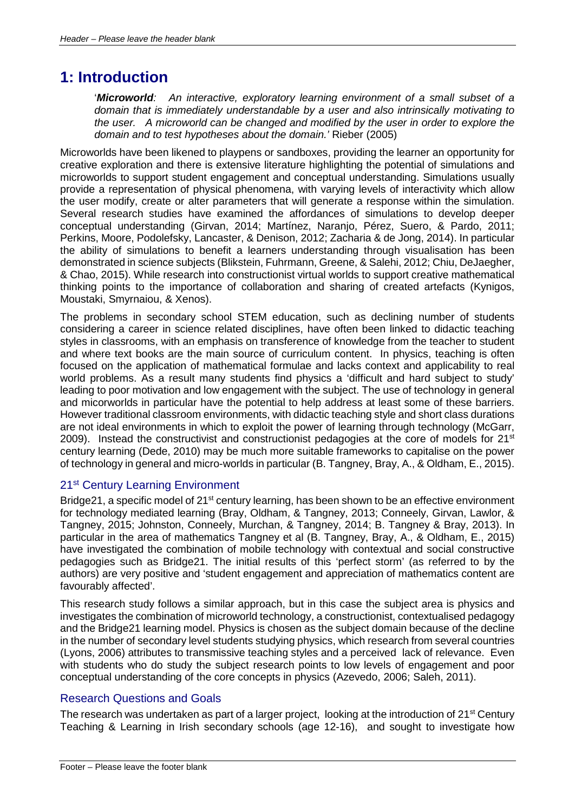### **1: Introduction**

'*Microworld: An interactive, exploratory learning environment of a small subset of a domain that is immediately understandable by a user and also intrinsically motivating to the user. A microworld can be changed and modified by the user in order to explore the domain and to test hypotheses about the domain.'* Rieber (2005)

Microworlds have been likened to playpens or sandboxes, providing the learner an opportunity for creative exploration and there is extensive literature highlighting the potential of simulations and microworlds to support student engagement and conceptual understanding. Simulations usually provide a representation of physical phenomena, with varying levels of interactivity which allow the user modify, create or alter parameters that will generate a response within the simulation. Several research studies have examined the affordances of simulations to develop deeper conceptual understanding (Girvan, 2014; Martínez, Naranjo, Pérez, Suero, & Pardo, 2011; Perkins, Moore, Podolefsky, Lancaster, & Denison, 2012; Zacharia & de Jong, 2014). In particular the ability of simulations to benefit a learners understanding through visualisation has been demonstrated in science subjects (Blikstein, Fuhrmann, Greene, & Salehi, 2012; Chiu, DeJaegher, & Chao, 2015). While research into constructionist virtual worlds to support creative mathematical thinking points to the importance of collaboration and sharing of created artefacts (Kynigos, Moustaki, Smyrnaiou, & Xenos).

The problems in secondary school STEM education, such as declining number of students considering a career in science related disciplines, have often been linked to didactic teaching styles in classrooms, with an emphasis on transference of knowledge from the teacher to student and where text books are the main source of curriculum content. In physics, teaching is often focused on the application of mathematical formulae and lacks context and applicability to real world problems. As a result many students find physics a 'difficult and hard subject to study' leading to poor motivation and low engagement with the subject. The use of technology in general and micorworlds in particular have the potential to help address at least some of these barriers. However traditional classroom environments, with didactic teaching style and short class durations are not ideal environments in which to exploit the power of learning through technology (McGarr, 2009). Instead the constructivist and constructionist pedagogies at the core of models for  $21<sup>st</sup>$ century learning (Dede, 2010) may be much more suitable frameworks to capitalise on the power of technology in general and micro-worlds in particular (B. Tangney, Bray, A., & Oldham, E., 2015).

### 21<sup>st</sup> Century Learning Environment

Bridge21, a specific model of 21<sup>st</sup> century learning, has been shown to be an effective environment for technology mediated learning (Bray, Oldham, & Tangney, 2013; Conneely, Girvan, Lawlor, & Tangney, 2015; Johnston, Conneely, Murchan, & Tangney, 2014; B. Tangney & Bray, 2013). In particular in the area of mathematics Tangney et al (B. Tangney, Bray, A., & Oldham, E., 2015) have investigated the combination of mobile technology with contextual and social constructive pedagogies such as Bridge21. The initial results of this 'perfect storm' (as referred to by the authors) are very positive and 'student engagement and appreciation of mathematics content are favourably affected'.

This research study follows a similar approach, but in this case the subject area is physics and investigates the combination of microworld technology, a constructionist, contextualised pedagogy and the Bridge21 learning model. Physics is chosen as the subject domain because of the decline in the number of secondary level students studying physics, which research from several countries (Lyons, 2006) attributes to transmissive teaching styles and a perceived lack of relevance. Even with students who do study the subject research points to low levels of engagement and poor conceptual understanding of the core concepts in physics (Azevedo, 2006; Saleh, 2011).

### Research Questions and Goals

The research was undertaken as part of a larger project, looking at the introduction of 21<sup>st</sup> Century Teaching & Learning in Irish secondary schools (age 12-16), and sought to investigate how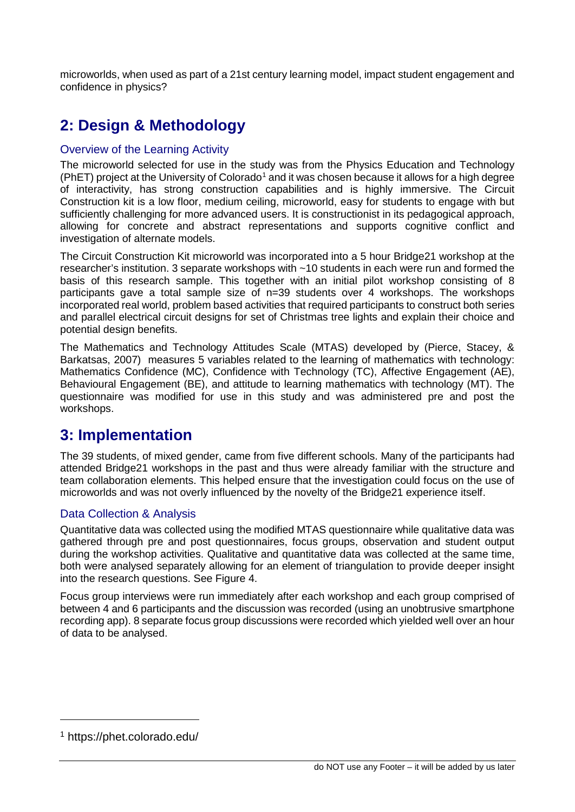microworlds, when used as part of a 21st century learning model, impact student engagement and confidence in physics?

## **2: Design & Methodology**

### Overview of the Learning Activity

The microworld selected for use in the study was from the Physics Education and Technology (PhET) project at the University of Colorado<sup>[1](#page-2-0)</sup> and it was chosen because it allows for a high degree of interactivity, has strong construction capabilities and is highly immersive. The Circuit Construction kit is a low floor, medium ceiling, microworld, easy for students to engage with but sufficiently challenging for more advanced users. It is constructionist in its pedagogical approach, allowing for concrete and abstract representations and supports cognitive conflict and investigation of alternate models.

The Circuit Construction Kit microworld was incorporated into a 5 hour Bridge21 workshop at the researcher's institution. 3 separate workshops with ~10 students in each were run and formed the basis of this research sample. This together with an initial pilot workshop consisting of 8 participants gave a total sample size of n=39 students over 4 workshops. The workshops incorporated real world, problem based activities that required participants to construct both series and parallel electrical circuit designs for set of Christmas tree lights and explain their choice and potential design benefits.

The Mathematics and Technology Attitudes Scale (MTAS) developed by (Pierce, Stacey, & Barkatsas, 2007) measures 5 variables related to the learning of mathematics with technology: Mathematics Confidence (MC), Confidence with Technology (TC), Affective Engagement (AE), Behavioural Engagement (BE), and attitude to learning mathematics with technology (MT). The questionnaire was modified for use in this study and was administered pre and post the workshops.

### **3: Implementation**

The 39 students, of mixed gender, came from five different schools. Many of the participants had attended Bridge21 workshops in the past and thus were already familiar with the structure and team collaboration elements. This helped ensure that the investigation could focus on the use of microworlds and was not overly influenced by the novelty of the Bridge21 experience itself.

### Data Collection & Analysis

Quantitative data was collected using the modified MTAS questionnaire while qualitative data was gathered through pre and post questionnaires, focus groups, observation and student output during the workshop activities. Qualitative and quantitative data was collected at the same time, both were analysed separately allowing for an element of triangulation to provide deeper insight into the research questions. See Figure 4.

Focus group interviews were run immediately after each workshop and each group comprised of between 4 and 6 participants and the discussion was recorded (using an unobtrusive smartphone recording app). 8 separate focus group discussions were recorded which yielded well over an hour of data to be analysed.

 $\overline{a}$ 

<span id="page-2-0"></span><sup>1</sup> https://phet.colorado.edu/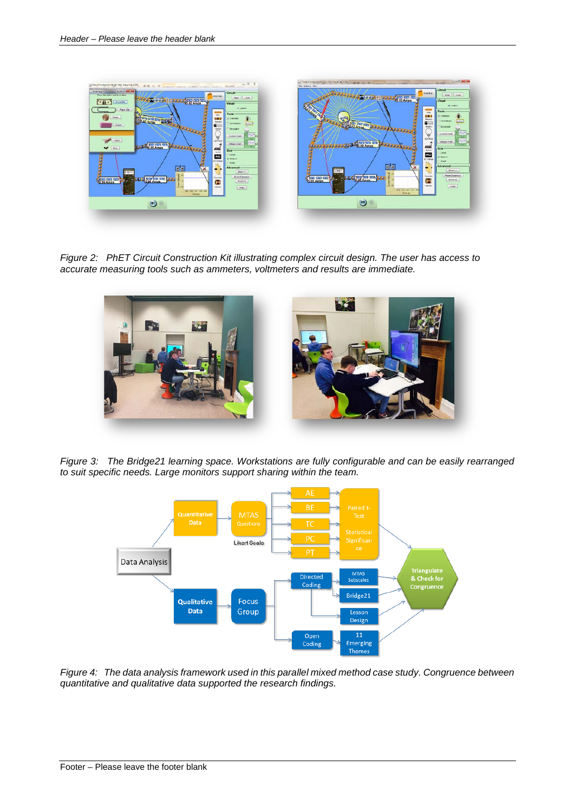

*Figure 2: PhET Circuit Construction Kit illustrating complex circuit design. The user has access to accurate measuring tools such as ammeters, voltmeters and results are immediate.*



*Figure 3: The Bridge21 learning space. Workstations are fully configurable and can be easily rearranged to suit specific needs. Large monitors support sharing within the team.*



*Figure 4: The data analysis framework used in this parallel mixed method case study. Congruence between quantitative and qualitative data supported the research findings.*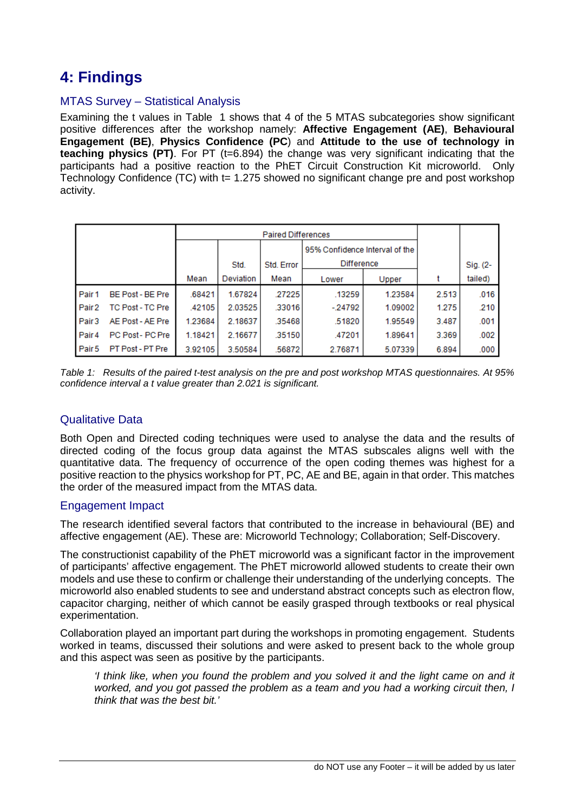# **4: Findings**

### MTAS Survey – Statistical Analysis

Examining the t values in [Table](#page-4-0) 1 shows that 4 of the 5 MTAS subcategories show significant positive differences after the workshop namely: **Affective Engagement (AE)**, **Behavioural Engagement (BE)**, **Physics Confidence (PC**) and **Attitude to the use of technology in teaching physics (PT)**. For PT (t=6.894) the change was very significant indicating that the participants had a positive reaction to the PhET Circuit Construction Kit microworld. Only Technology Confidence (TC) with t= 1.275 showed no significant change pre and post workshop activity.

|                   |                  | <b>Paired Differences</b> |           |            |                                |         |       |          |
|-------------------|------------------|---------------------------|-----------|------------|--------------------------------|---------|-------|----------|
|                   |                  |                           |           |            | 95% Confidence Interval of the |         |       |          |
|                   |                  |                           | Std.      | Std. Error | <b>Difference</b>              |         |       | Sig. (2- |
|                   |                  | Mean                      | Deviation | Mean       | Lower                          | Upper   |       | tailed)  |
| Pair 1            | BE Post - BE Pre | .68421                    | 1.67824   | .27225     | .13259                         | 1.23584 | 2.513 | .016     |
| Pair <sub>2</sub> | TC Post - TC Pre | .42105                    | 2.03525   | .33016     | $-24792$                       | 1.09002 | 1.275 | .210     |
| Pair <sub>3</sub> | AE Post - AE Pre | 1.23684                   | 2.18637   | .35468     | .51820                         | 1.95549 | 3.487 | .001     |
| Pair 4            | PC Post - PC Pre | 1.18421                   | 2.16677   | .35150     | .47201                         | 1.89641 | 3.369 | .002     |
| Pair 5            | PT Post - PT Pre | 3.92105                   | 3.50584   | .56872     | 2.76871                        | 5.07339 | 6.894 | .000     |

<span id="page-4-0"></span>*Table 1: Results of the paired t-test analysis on the pre and post workshop MTAS questionnaires. At 95% confidence interval a t value greater than 2.021 is significant.*

### Qualitative Data

Both Open and Directed coding techniques were used to analyse the data and the results of directed coding of the focus group data against the MTAS subscales aligns well with the quantitative data. The frequency of occurrence of the open coding themes was highest for a positive reaction to the physics workshop for PT, PC, AE and BE, again in that order. This matches the order of the measured impact from the MTAS data.

### Engagement Impact

The research identified several factors that contributed to the increase in behavioural (BE) and affective engagement (AE). These are: Microworld Technology; Collaboration; Self-Discovery.

The constructionist capability of the PhET microworld was a significant factor in the improvement of participants' affective engagement. The PhET microworld allowed students to create their own models and use these to confirm or challenge their understanding of the underlying concepts. The microworld also enabled students to see and understand abstract concepts such as electron flow, capacitor charging, neither of which cannot be easily grasped through textbooks or real physical experimentation.

Collaboration played an important part during the workshops in promoting engagement. Students worked in teams, discussed their solutions and were asked to present back to the whole group and this aspect was seen as positive by the participants.

*'I think like, when you found the problem and you solved it and the light came on and it worked, and you got passed the problem as a team and you had a working circuit then, I think that was the best bit.'*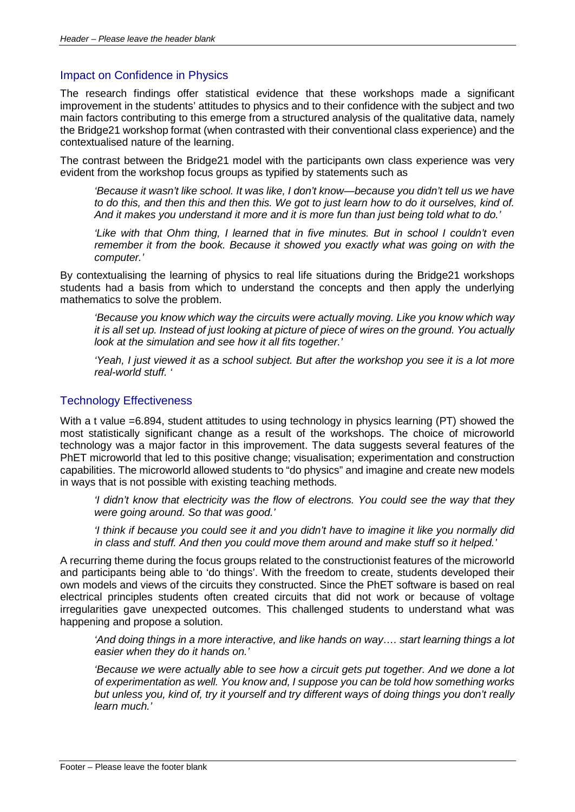#### Impact on Confidence in Physics

The research findings offer statistical evidence that these workshops made a significant improvement in the students' attitudes to physics and to their confidence with the subject and two main factors contributing to this emerge from a structured analysis of the qualitative data, namely the Bridge21 workshop format (when contrasted with their conventional class experience) and the contextualised nature of the learning.

The contrast between the Bridge21 model with the participants own class experience was very evident from the workshop focus groups as typified by statements such as

*'Because it wasn't like school. It was like, I don't know—because you didn't tell us we have to do this, and then this and then this. We got to just learn how to do it ourselves, kind of. And it makes you understand it more and it is more fun than just being told what to do.'*

*'Like with that Ohm thing, I learned that in five minutes. But in school I couldn't even remember it from the book. Because it showed you exactly what was going on with the computer.'*

By contextualising the learning of physics to real life situations during the Bridge21 workshops students had a basis from which to understand the concepts and then apply the underlying mathematics to solve the problem.

*'Because you know which way the circuits were actually moving. Like you know which way it is all set up. Instead of just looking at picture of piece of wires on the ground. You actually look at the simulation and see how it all fits together.'*

*'Yeah, I just viewed it as a school subject. But after the workshop you see it is a lot more real-world stuff. '*

### Technology Effectiveness

With a t value =6.894, student attitudes to using technology in physics learning (PT) showed the most statistically significant change as a result of the workshops. The choice of microworld technology was a major factor in this improvement. The data suggests several features of the PhET microworld that led to this positive change; visualisation; experimentation and construction capabilities. The microworld allowed students to "do physics" and imagine and create new models in ways that is not possible with existing teaching methods.

*'I didn't know that electricity was the flow of electrons. You could see the way that they were going around. So that was good.'*

*'I think if because you could see it and you didn't have to imagine it like you normally did in class and stuff. And then you could move them around and make stuff so it helped.'*

A recurring theme during the focus groups related to the constructionist features of the microworld and participants being able to 'do things'. With the freedom to create, students developed their own models and views of the circuits they constructed. Since the PhET software is based on real electrical principles students often created circuits that did not work or because of voltage irregularities gave unexpected outcomes. This challenged students to understand what was happening and propose a solution.

*'And doing things in a more interactive, and like hands on way…. start learning things a lot easier when they do it hands on.'*

*'Because we were actually able to see how a circuit gets put together. And we done a lot of experimentation as well. You know and, I suppose you can be told how something works but unless you, kind of, try it yourself and try different ways of doing things you don't really learn much.'*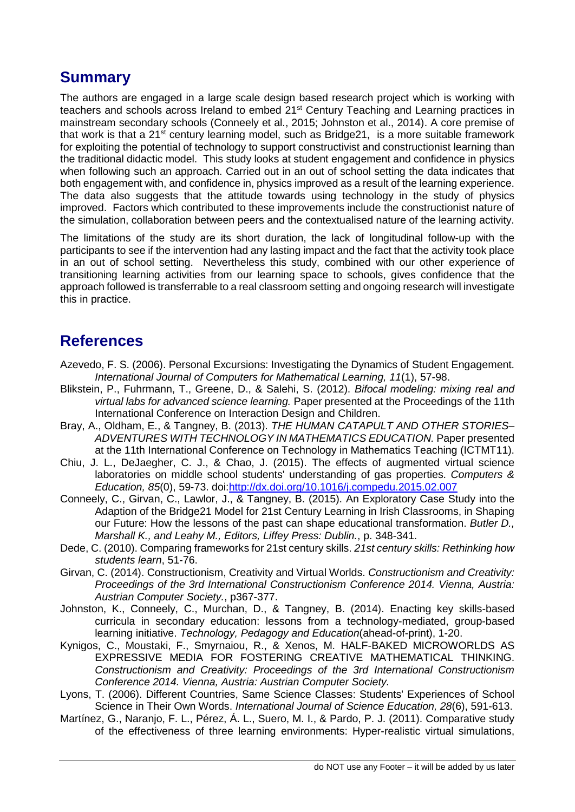### **Summary**

The authors are engaged in a large scale design based research project which is working with teachers and schools across Ireland to embed 21st Century Teaching and Learning practices in mainstream secondary schools (Conneely et al., 2015; Johnston et al., 2014). A core premise of that work is that a 21<sup>st</sup> century learning model, such as Bridge21, is a more suitable framework for exploiting the potential of technology to support constructivist and constructionist learning than the traditional didactic model. This study looks at student engagement and confidence in physics when following such an approach. Carried out in an out of school setting the data indicates that both engagement with, and confidence in, physics improved as a result of the learning experience. The data also suggests that the attitude towards using technology in the study of physics improved. Factors which contributed to these improvements include the constructionist nature of the simulation, collaboration between peers and the contextualised nature of the learning activity.

The limitations of the study are its short duration, the lack of longitudinal follow-up with the participants to see if the intervention had any lasting impact and the fact that the activity took place in an out of school setting. Nevertheless this study, combined with our other experience of transitioning learning activities from our learning space to schools, gives confidence that the approach followed is transferrable to a real classroom setting and ongoing research will investigate this in practice.

### **References**

- Azevedo, F. S. (2006). Personal Excursions: Investigating the Dynamics of Student Engagement. *International Journal of Computers for Mathematical Learning, 11*(1), 57-98.
- Blikstein, P., Fuhrmann, T., Greene, D., & Salehi, S. (2012). *Bifocal modeling: mixing real and virtual labs for advanced science learning.* Paper presented at the Proceedings of the 11th International Conference on Interaction Design and Children.
- Bray, A., Oldham, E., & Tangney, B. (2013). *THE HUMAN CATAPULT AND OTHER STORIES– ADVENTURES WITH TECHNOLOGY IN MATHEMATICS EDUCATION.* Paper presented at the 11th International Conference on Technology in Mathematics Teaching (ICTMT11).
- Chiu, J. L., DeJaegher, C. J., & Chao, J. (2015). The effects of augmented virtual science laboratories on middle school students' understanding of gas properties. *Computers & Education, 85*(0), 59-73. doi[:http://dx.doi.org/10.1016/j.compedu.2015.02.007](http://dx.doi.org/10.1016/j.compedu.2015.02.007)
- Conneely, C., Girvan, C., Lawlor, J., & Tangney, B. (2015). An Exploratory Case Study into the Adaption of the Bridge21 Model for 21st Century Learning in Irish Classrooms, in Shaping our Future: How the lessons of the past can shape educational transformation. *Butler D., Marshall K., and Leahy M., Editors, Liffey Press: Dublin.*, p. 348-341.
- Dede, C. (2010). Comparing frameworks for 21st century skills. *21st century skills: Rethinking how students learn*, 51-76.
- Girvan, C. (2014). Constructionism, Creativity and Virtual Worlds. *Constructionism and Creativity: Proceedings of the 3rd International Constructionism Conference 2014. Vienna, Austria: Austrian Computer Society.*, p367-377.
- Johnston, K., Conneely, C., Murchan, D., & Tangney, B. (2014). Enacting key skills-based curricula in secondary education: lessons from a technology-mediated, group-based learning initiative. *Technology, Pedagogy and Education*(ahead-of-print), 1-20.
- Kynigos, C., Moustaki, F., Smyrnaiou, R., & Xenos, M. HALF-BAKED MICROWORLDS AS EXPRESSIVE MEDIA FOR FOSTERING CREATIVE MATHEMATICAL THINKING. *Constructionism and Creativity: Proceedings of the 3rd International Constructionism Conference 2014. Vienna, Austria: Austrian Computer Society.*
- Lyons, T. (2006). Different Countries, Same Science Classes: Students' Experiences of School Science in Their Own Words. *International Journal of Science Education, 28*(6), 591-613.
- Martínez, G., Naranjo, F. L., Pérez, Á. L., Suero, M. I., & Pardo, P. J. (2011). Comparative study of the effectiveness of three learning environments: Hyper-realistic virtual simulations,